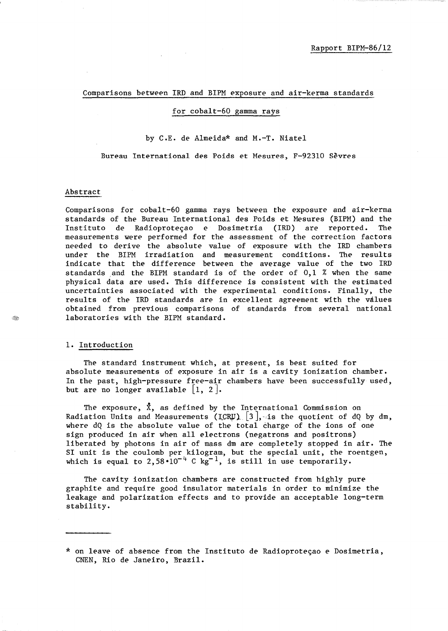### Comparisons between IRD and BIPM exposure and air-kerma standards

### for cobalt-60 gamma rays

### by C.E. de Almeida\* and M.-T. Niatel

#### Bureau International des Poids et Mesures, F-92310 Sevres

### Abstract

Comparisons for cobalt-60 gamma rays between the exposure and air-kerma standards of the Bureau International des Poids et Mesures (BIPM) and the Instituto de Radioproteçao e Dosimetria (IRD) are reported. The measurements were performed for the assessment of the correction factors needed to derive the absolute value of exposure with the IRD chambers under the BIPM irradiation and measurement conditions. The results indicate that the difference between the average value of the two IRD standards and the BIPM standard is of the order of 0,1 % when the same physical data are used. This difference is consistent with the estimated uncertainties associated with the experimental conditions. Finally, the results of the IRD standards are in excellent agreement with the values obtained from previous comparisons of standards from several national laboratories with the BIPM standard.

### 1. Introduction

A.

The standard instrument which, at present, is best suited for absolute measurements of exposure in air is a cavity ionization chamber. In the past, high-pressure free-air chambers have been successfully used, but are no longer available  $|1, 2|$ .

The exposure,  $\bar{X}$ , as defined by the International Commission on Radiation Units and Measurements (ICRU)  $[3]$ , is the quotient of dQ by dm, where dQ is the absolute value of the total charge of the ions of one sign produced in air when all electrons (negatrons and positrons) liberated by photons in air of mass dm are completely stopped in air. The SI unit is the coulomb per kilogram, but the special unit, the roentgen, which is equal to  $2,58 \cdot 10^{-4}$  C kg<sup>-1</sup>, is still in use temporarily.

The cavity ionization chambers are constructed from highly pure graphite and require good insulator materials in order to minimize the leakage and polarization effects and to provide an acceptable long-term stability.

<sup>\*</sup> on leave of absence from the Instituto de Radioproteçao e Dosimetria, CNEN, Rio de Janeiro, Brazil.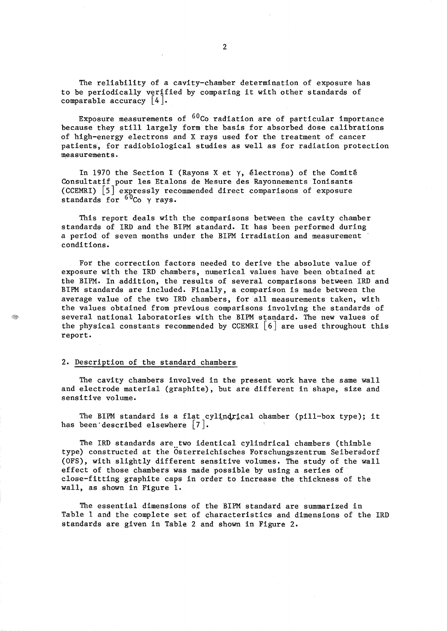The reliability of a cavity-chamber determination of exposure has to be periodically verified by comparing it with other standards of comparable accuracy  $|4|$ .

Exposure measurements of  ${}^{60}$ Co radiation are of particular importance because they still largely form the basis for absorbed dose calibrations of high-energy electrons and X rays used for the treatment of cancer patients, for radiobiological studies as well as for radiation protection measurements.

In 1970 the Section I (Rayons X et  $\gamma$ , électrons) of the Comité Consultatif pour les Etalons de Mesure des Rayonnements Ionisants (CCEMRI) [5J expressly recommended direct comparisons of exposure standards for  ${}^{60}$ Co  $\gamma$  rays.

This report deals with the comparisons between the cavity chamber standards of IRD and the BIPM standard. It has been performed during a period of seven months under the BIPM irradiation and measurement . conditions.

For the correction factors needed to derive the absolute value of exposure with the IRD chambers, numerical values have been obtained at the BIPM. In addition, the results of several comparisons between IRD and BIPM standards are included. Finally, a comparison is made between the average value of the two IRD chambers, for all measurements taken, with the values obtained from previous comparisons involving the standards of several national laboratories with the BIPM standard. The new values of the physical constants recommended by CCEMRI  $|6|$  are used throughout this report.

### 2. Description of the standard chambers

- Andr

The cavity chambers involved in the present work have the same wall and electrode material (graphite), but are different in shape, size and sensitive volume.

The BIPM standard is a flat cylindrical chamber (pill-box type); it has been described elsewhere [7].

The IRD standards are two identical cylindrical chambers (thimble type) constructed at the Osterreichisches Forschungszentrum Seibersdorf (OFS), with slightly different sensitive volumes. The study of the wall effect of those chambers was made possible by using a series of close-fitting graphite caps in order to increase the thickness of the wall, as shown in Figure 1.

The essential dimensions of the BIPM standard are summarized in Table 1 and the complete set of characteristics and dimensions of the IRD standards are given in Table 2 and shown in Figure 2.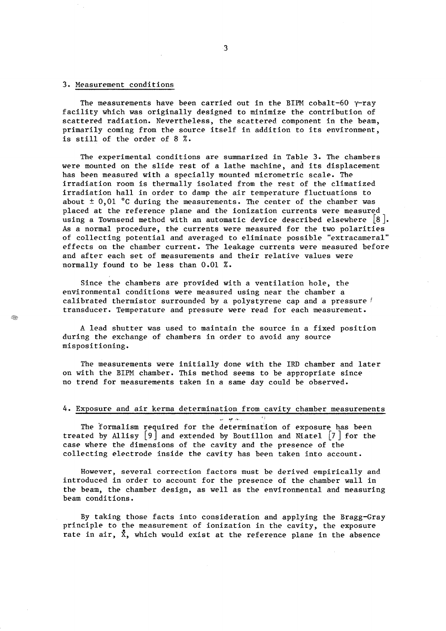#### 3. Measurement conditions

The measurements have been carried out in the BIPM cobalt-60  $\gamma$ -ray facility which was originally designed to minimize the contribution of scattered radiation. Nevertheless, the scattered component in the beam, primarily coming from the source itself in addition to its environment, is still of the order of 8 %.

The experimental conditions are summarized in Table 3. The chambers were mounted on the slide rest of a lathe machine, and its displacement has been measured with a specially mounted micrometric scale. The irradiation room is thermally isolated from the rest of the climatized irradiation hall in order to damp the air temperature fluctuations to about  $\pm$  0,01 °C during the measurements. The center of the chamber was placed at the reference plane and the ionization currents were measured using a Townsend method with an automatic device described elsewhere  $\begin{bmatrix} 8 \end{bmatrix}$ . As a normal procedure, the currents were measured for the two polarities of collecting potential and averaged to eliminate possible "extracameral" effects on the chamber current. The leakage currents were measured before and after each set of measurements and their relative values were normally found to be less than 0.01 %.

Since the chambers are provided with a ventilation hole, the environmental conditions were measured using near the chamber a calibrated thermistor surrounded by a polystyrene cap and a pressure / transducer. Temperature and pressure were read for each measurement.

A lead shutter was used to maintain the source in a fixed position during the exchange of chambers in order to avoid any source mispositioning.

The measurements were initially done with the IRD chamber and later on with the BIPM chamber. This method seems to be appropriate since no trend for measurements taken in a same day could be observed.

### 4. Exposure and air kerma determination from cavity chamber measurements 'I' ~,. '''''.

The formalism required for the determination of exposure has been treated by Allisy  $|9|$  and extended by Boutillon and Niatel  $|7|$  for the case where the dimensions of the cavity and the presence of the collecting electrode inside the cavity has been taken into account.

However, several correction factors must be derived empirically and introduced in order to account for the presence of the chamber wall in the beam, the chamber design, as well as the environmental and measuring beam conditions.

By taking those facts into consideration and applying the Bragg-Gray principle to the measurement of ionization in the cavity, the exposure rate in air,  $\bar{x}$ , which would exist at the reference plane in the absence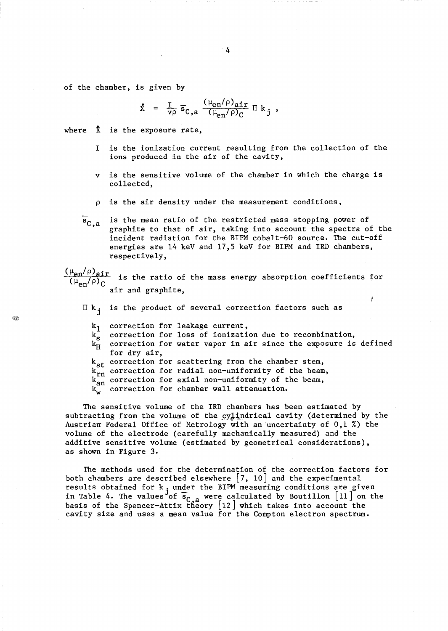of the chamber, is given by

$$
\bar{x} = \frac{I}{v\rho} \overline{s}_{C,a} \frac{(\mu_{en}/\rho)_{air}}{(\mu_{en}/\rho)_{C}} \Pi k_{j} ,
$$

where  $\bar{x}$  is the exposure rate,

- I is the ionization current resulting from the collection of the ions produced in the air of the cavity,
- is the sensitive volume of the chamber in which the charge is collected,
- $\rho$  is the air density under the measurement conditions,
- $\overline{s}_{C,a}$  is the mean ratio of the restricted mass stopping power of graphite to that of air, taking into account the spectra of the incident radiation for the BIPM cobalt-60 source. The cut-off energies are 14 keV and 17,5 keV for BIPM and IRD chambers, respectively,

 $\frac{(\mu_{en}/\rho)_{air}}{\sqrt{N}}$  is the ratio of the mass energy absorption coefficients for  $(\mu_{en}/\rho)_{C}$ air and graphite,

- $\mathbb{I}$  k<sub>i</sub> is the product of several correction factors such as
	- correction for leakage current,  $k_1$
	- $k_{\rm s}^{\rm t}$ correction for loss of ionization due to recombination,
- $k_H^-$  correction for water vapor in air since the exposure is defined for dry air,
	- $k_{st}$  correction for scattering from the chamber stem,
	- $k_{rn}$  correction for radial non-uniformity of the beam,
	- $k_{an}$  correction for axial non-uniformity of the beam,
	- $k_{w}^{aii}$ correction for chamber wall attenuation.

The sensitive volume of the IRD chambers has been estimated by subtracting from the volume of the cylindrical cavity (determined by the Austrian Federal Office of Metrology with an 'uncertainty of 0,1 %) the volume of the electrode (carefully mechanically measured) and the additive sensitive volume (estimated by geometrical considerations), as shown in Figure 3.

The methods used for the determination of the correction factors for both chambers are described elsewhere  $\begin{bmatrix} 7 & 10 \end{bmatrix}$  and the experimental results obtained for  $k_1$  under the BIPM measuring conditions are given in Table 4. The values of  $\overline{s}_{C-a}$  were calculated by Boutillon  $[11]$  on the basis of the Spencer-Attix theory  $\lceil 12 \rceil$  which takes into account the cavity size and uses a mean value for the Compton electron spectrum.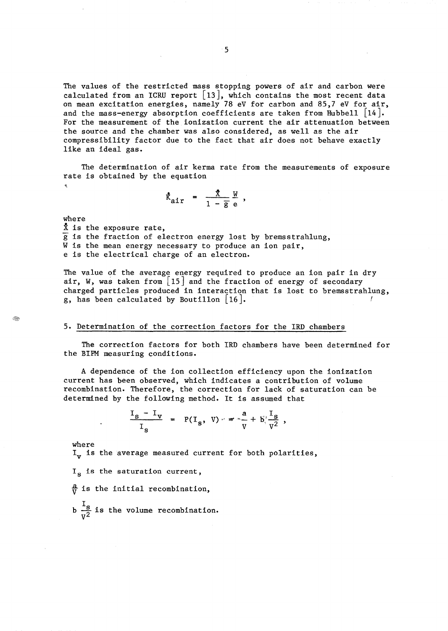The values of the restricted mass stopping powers of air and carbon were calculated from an ICRU report  $\lceil 13 \rceil$ , which contains the most recent data on mean excitation energies, namely 78 eV for carbon and 85,7 eV for air, and the mass-energy absorption coefficients are taken from Hubbell  $|14|$ . For the measurement of the ionization current the air attenuation between the source and the chamber was also considered, as well as the air compressibility factor due to the fact that air does not behave exactly like an ideal gas.

The determination of air kerma rate from the measurements of exposure rate is obtained by the equation

$$
\bar{X}_{\text{air}} = \frac{\bar{X}}{1-\bar{g}} \frac{W}{e} ,
$$

where

 $\bar{X}$  is the exposure rate, g is the fraction of electron energy lost by bremsstrahlung, W is the mean energy necessary to produce an ion pair, e is the electrical charge of an electron.

The value of the average energy required to produce an ion pair in dry air, W, was taken from  $\begin{bmatrix} 15 \end{bmatrix}$  and the fraction of energy of secondary charged particles produced in interaction that is lost to bremsstrahlung, g, has been calculated by Boutillon  $\lfloor 16 \rfloor$ . f

# 5. Determination of the correction factors for the IRD chambers

The correction factors for both IRD chambers have been determined for the BIPM measuring conditions.

A dependence of the ion collection efficiency upon the ionization current has been observed, which indicates a contribution of volume recombination. Therefore, the correction for lack of saturation can be determined by the following method. It is assumed that

$$
\frac{I_s - I_v}{I_s} = P(I_s, V) = \frac{a}{V} + b \frac{I_s}{V^2},
$$

where

 $I_{\mathbf{v}}$  is the average measured current for both polarities,

 $I_s$  is the saturation current,

 $\frac{a}{v}$  is the initial recombination,

b  $\frac{I_s}{V^2}$  is the volume recombination.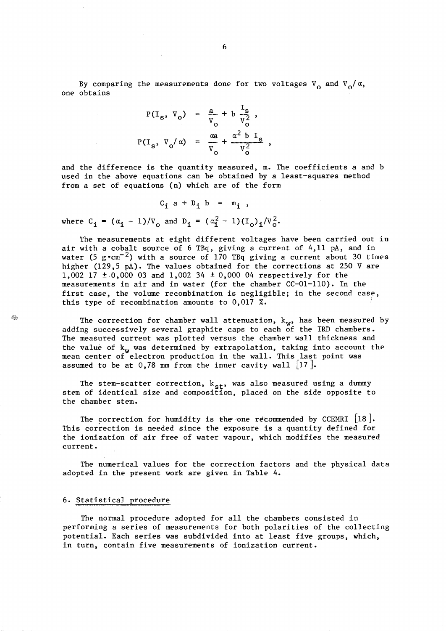By comparing the measurements done for two voltages  $V_o$  and  $V_o/\alpha$ , one obtains

$$
P(I_{s}, V_{o}) = \frac{a}{V_{o}} + b \frac{I_{s}}{V_{o}^{2}},
$$
  

$$
P(I_{s}, V_{o}/\alpha) = \frac{\alpha a}{V_{o}} + \frac{\alpha^{2} b I_{s}}{V_{o}^{2}},
$$

and the difference is the quantity measured, m. The coefficients a and b used in the above equations can be obtained by a least-squares method from a set of equations (n) which are of the form

 $C_i$  a +  $D_i$  b =  $m_i$ ,

where  $C_i = (\alpha_i - 1)/V_o$  and  $D_i = (\alpha_i^2 - 1)(I_o)_i/V_o^2$ .

The measurements at eight different voltages have been carried out in air with a cobalt source of 6 TBq, giving a current of 4,11 pA, and in water (5 g $e^{\tan^{-2}}$ ) with a source of 170 TBq giving a current about 30 times higher (129,5 pA). The values obtained for the corrections at 250 V are 1,002 17 ± 0,000 03 and 1,002 34 ± 0,000 04 respectively for the measurements in air and in water (for the chamber CC-Ol-l10). In the first case, the volume recombination is negligible; in the second case, this type of recombination amounts to  $0,017$  %.

The correction for chamber wall attenuation,  $k_{w}$ , has been measured by adding successively several graphite caps to each of the IRD chambers. The measured current was plotted versus the chamber wall thickness and the value of  $k_w$  was determined by extrapolation, taking into account the mean center of electron production in the wall. This last point was assumed to be at  $0,78$  mm from the inner cavity wall  $[17]$ .

The stem-scatter correction,  $k_{st}$ , was also measured using a dummy stem of identical size and composition, placed on the side opposite to the chamber stem.

The correction for humidity is the one recommended by CCEMRI  $\lfloor 18 \rfloor$ . This correction is needed since the exposure is a quantity defined for the ionization of air free of water vapour, which modifies the measured current.

The numerical values for the correction factors and the physical data adopted in the present work are given in Table 4.

#### 6. Statistical procedure

I.

The normal procedure adopted for all the chambers consisted in performing a series of measurements for both polarities of the collecting potential. Each series was subdivided into at least five groups, which, in turn, contain five measurements of ionization current.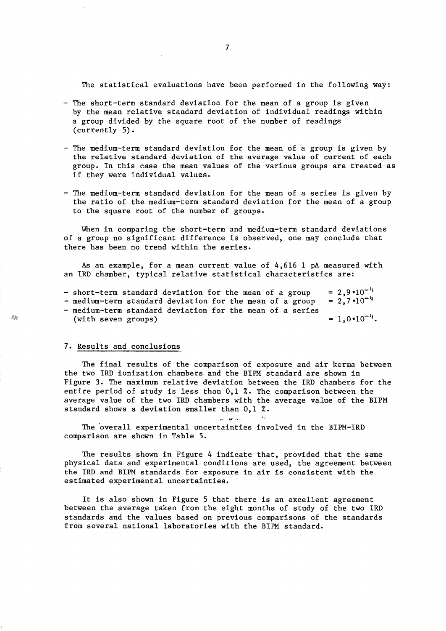The statistical evaluations have been performed in the following way:

- The short-term standard deviation for the mean of a group is given by the mean relative standard deviation of individual readings within a group divided by the square root of the number of readings (currently 5).
- The medium-term standard deviation for the mean of a group is given by the relative standard deviation of the average value of current of each group. In this case the mean values of the various groups are treated as if they were individual values.
- The medium-term standard deviation for the mean of a series is given by the ratio of the medium-term standard deviation for the mean of a group to the square root of the number of groups.

When in comparing the short-term and medium-term standard deviations of a group no significant difference is observed, one may conclude that there has been no trend within the series.

As an example, for a mean current value of 4,616 1 pA measured with an IRD chamber, typical relative statistical characteristics are:

| - short-term standard deviation for the mean of a group   | $= 2.9 \cdot 10^{-4}$   |
|-----------------------------------------------------------|-------------------------|
| - medium-term standard deviation for the mean of a group  | $= 2.7 \cdot 10^{-4}$   |
| - medium-term standard deviation for the mean of a series |                         |
| (with seven groups)                                       | $= 1.0 \cdot 10^{-4}$ . |

#### 7. Results and conclusions

43

The final results of the comparison of exposure and air kerma between the two IRD ionization chambers and the BIPM standard are shown in Figure 3. The maximum relative deviation between the IRD chambers for the entire period of study is less than  $0,1$  %. The comparison between the average value of the two IRD chambers with the average value of the BIPM standard shows a deviation smaller than 0,1 %.

",

The 'overall experimental uncertainties involved in the BIPM-IRD comparison are shown in Table 5.

The results shown in Figure 4 indicate that, provided that the same physical data and experimental conditions are used, the agreement between the IRD and BIPM standards for exposure in air is consistent with the estimated experimental uncertainties.

It is also shown in Figure 5 that there is an excellent agreement between the average taken from the eight months of study of the two IRD standards and the values based on previous comparisons of the standards from several national laboratories with the BIPM standard.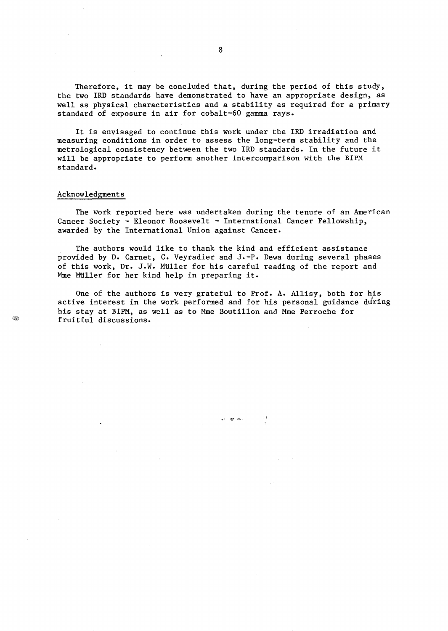Therefore, it may be concluded that, during the period of this study, the two IRD standards have demonstrated to have an appropriate design, as well as physical characteristics and a stability as required for a primary standard of exposure in air for cobalt-60 gamma rays.

It is envisaged to continue this work under the IRD irradiation and measuring conditions in order to assess the long-term stability and the metrological consistency between the two IRD standards. In the future it will be appropriate to perform another intercomparison with the BIPM standard.

### Acknowledgments

The work reported here was undertaken during the tenure of an American Cancer Society - Eleonor Roosevelt - International Cancer Fellowship, awarded by the International Union against Cancer.

The authors would like to thank the kind and efficient assistance provided by D. Carnet, C. Veyradier and J.-P. Dewa during several phases of this work, Dr. J.W. MUller for his careful reading of the report and Mme Müller for her kind help in preparing it.

One of the authors is very grateful to Prof. A. A1lisy, both for his active interest in the work performed and for his personal guidance during his stay at BIPM, as well as to Mme Boutillon and Mme Perroche for fruitful discussions.

ga ang pag-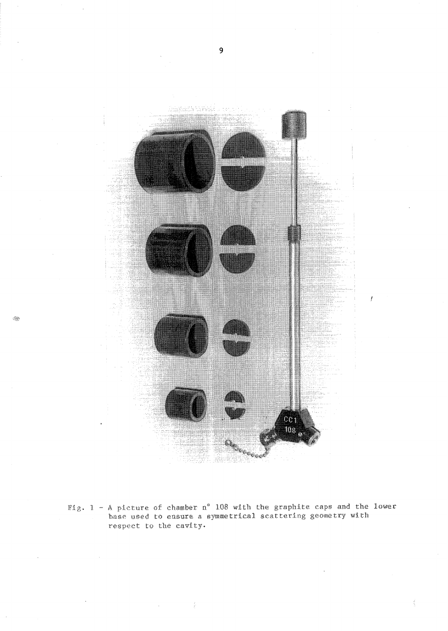

 $\lesssim$ 

Fig. 1 - A picture of chamber n" 108 with the graphite caps and the lower base used to ensure a symmetrical scattering geometry with respect to the cavity.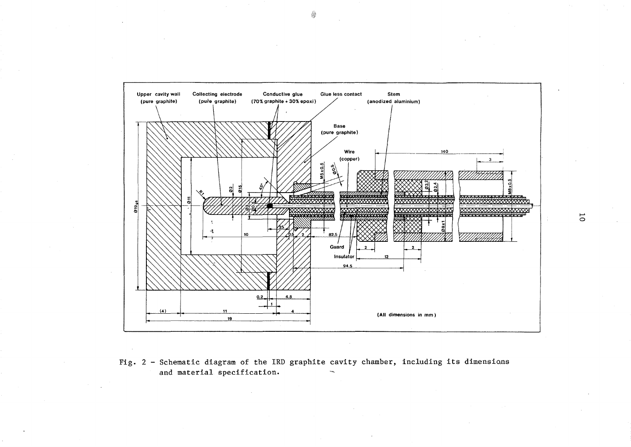

Fig.  $2$  - Schematic diagram of the IRD graphite cavity chamber, including its dimensions and material specification.

t-' o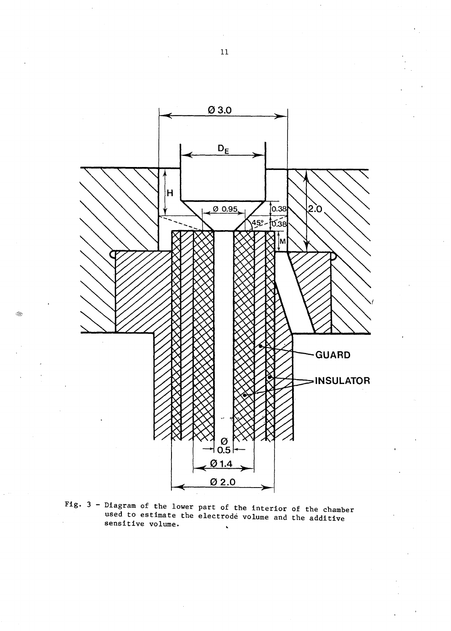

Fig. 3 - Diagram of the lower part of the interior of the chamber used to estimate the electrode volume and the additive sensitive volume.  $\ddot{\phantom{0}}$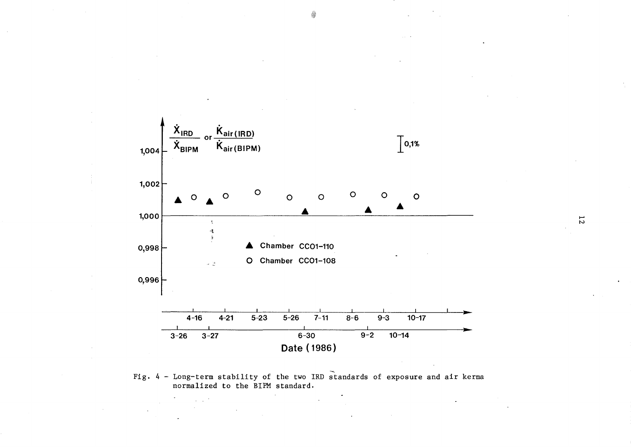

..... N

Fig. 4 - Long-term stability of the two IRD standards of exposure and air kerma normalized to the BIPM standard.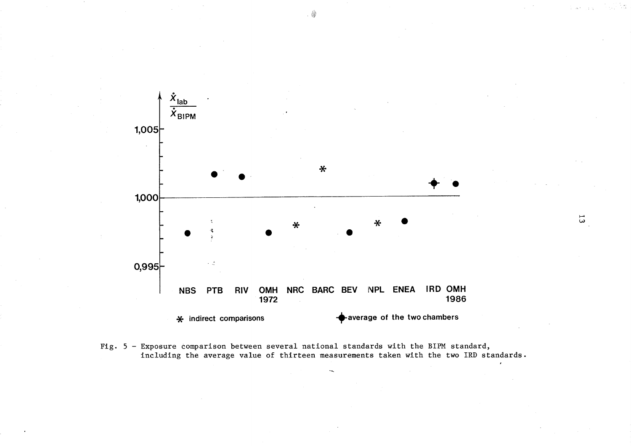

Fig. 5 - Exposure comparison between several national standards with the BIPM standard, including the average value of thirteen measurements taken with the two IRD standards.

 $\cdot$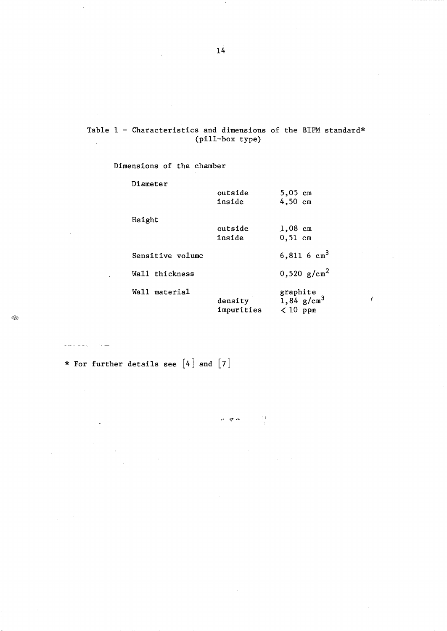#### Table 1 - Characteristics and dimensions of the BIPM standard\* (pill-box type)  $\hat{\mathcal{A}}$

Dimensions of the chamber

Diameter

|                  | outside<br>inside     | 5,05 cm<br>$4,50$ cm                               |
|------------------|-----------------------|----------------------------------------------------|
| Height           | outside<br>inside     | $1,08$ cm<br>$0,51$ cm                             |
| Sensitive volume |                       | 6,811 6 $cm3$                                      |
| Wall thickness   |                       | $0,520 g/cm^2$                                     |
| Wall material    | density<br>impurities | graphite<br>$1,84$ g/cm <sup>3</sup><br>$<$ 10 ppm |

Ĭ

 $\omega$  -  $\omega$  and  $\omega$ 

 $\mathcal{I}$  i

\* For further details see  $[4]$  and  $[7]$ 

❀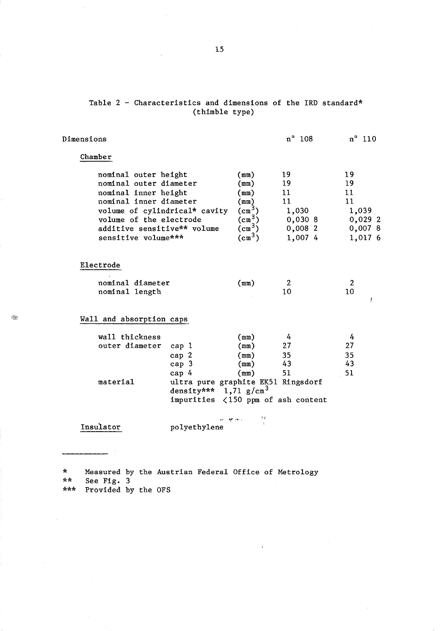# Table 2 - Characteristics and dimensions of the IRD standard\* (thimble type)

|                                                          | Dimensions                          |                   |                                  | $n^{\circ}$ 110     |  |
|----------------------------------------------------------|-------------------------------------|-------------------|----------------------------------|---------------------|--|
| Chamber                                                  |                                     |                   |                                  |                     |  |
| nominal outer height                                     |                                     | (mm)              | 19                               | 19                  |  |
| nominal outer diameter                                   |                                     | (mm)              | 19                               | 19                  |  |
| nominal inner height                                     |                                     | (mm)              | 11                               | 11                  |  |
| nominal inner diameter                                   |                                     | (mm)              | 11                               | 11                  |  |
| volume of cylindrical* cavity<br>volume of the electrode | $\text{(cm}^3)$<br>$\text{cm}^3$ )  | 1,030             | 1,039                            |                     |  |
| additive sensitive** volume                              |                                     | $\text{cm}^3$ )   | 0,0308<br>$0,008$ 2              | $0,029$ 2<br>0,0078 |  |
| sensitive volume***                                      |                                     | $(\text{cm}^3)$   | 1,007 4                          | 1,017 6             |  |
|                                                          |                                     |                   |                                  |                     |  |
| Electrode                                                |                                     |                   |                                  |                     |  |
|                                                          |                                     |                   |                                  |                     |  |
| nominal diameter                                         |                                     | (mm)              | $\mathbf{2}$                     | 2                   |  |
| nominal length                                           |                                     |                   | 10                               | 10                  |  |
|                                                          |                                     |                   |                                  |                     |  |
|                                                          |                                     |                   |                                  | f                   |  |
|                                                          |                                     |                   |                                  |                     |  |
| Wall and absorption caps                                 |                                     |                   |                                  |                     |  |
| wall thickness                                           |                                     | (mm)              | 4                                | 4                   |  |
| outer diameter                                           | cap 1                               | (mm)              | 27                               | 27                  |  |
|                                                          | cap 2                               | (mm)              | 35                               | 35                  |  |
|                                                          | cap 3                               | (mm)              | 43                               | 43                  |  |
|                                                          | cap $4$                             | (mm)              | 51                               | 51                  |  |
| material                                                 | ultra pure graphite EK51 Ringsdorf  |                   |                                  |                     |  |
|                                                          | density*** $1,71$ g/cm <sup>3</sup> |                   |                                  |                     |  |
|                                                          | impurities                          |                   | $\langle 150$ ppm of ash content |                     |  |
|                                                          |                                     | 23<br>All control |                                  |                     |  |
| Insulator                                                | polyethylene                        |                   |                                  |                     |  |
|                                                          |                                     |                   |                                  |                     |  |

 $\ddot{\phantom{a}}$ 

\* Measured by the Austrian Federal Office of Metrology \*\* See Fig. 3<br>\*\*\* Provided by Provided by the OFS

Q)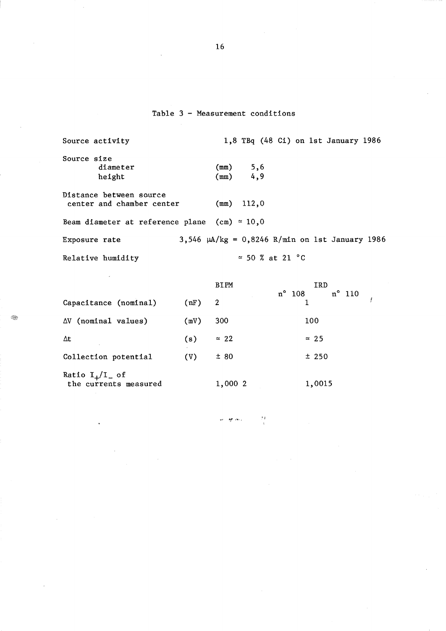### Table 3 - Measurement conditions

Source activity Source size diameter height Distance between source center and chamber center 1,8 TBq (48 Ci) on 1st January 1986  $(mm)$  5,6<br> $(mm)$  4,9  $(mm)$ (mm) 112,0 Beam diameter at reference plane (cm)  $\approx 10,0$ Exposure rate  $3,546 \mu A/kg = 0,8246 R/min$  on 1st January 1986 Relative humidity  $\approx$  50 % at 21 °C

|                                                 |      | <b>BIPM</b>    | <b>IRD</b> |                                             |  |
|-------------------------------------------------|------|----------------|------------|---------------------------------------------|--|
| Capacitance (nominal)                           | (nF) | $\overline{2}$ |            | $n^{\circ}$ 108 $n^{\circ}$ 110<br>$\sim$ 1 |  |
| $\Delta V$ (nominal values)                     | (mV) | 300            |            | 100                                         |  |
| Δt                                              | (s)  | $\approx$ 22   |            | $\approx 25$                                |  |
| Collection potential                            | (V)  | ± 80           |            | ±250                                        |  |
| Ratio $I_{+}/I_{-}$ of<br>the currents measured |      | 1,000 2        |            | 1,0015                                      |  |

◈

~, ~,. '''''' "l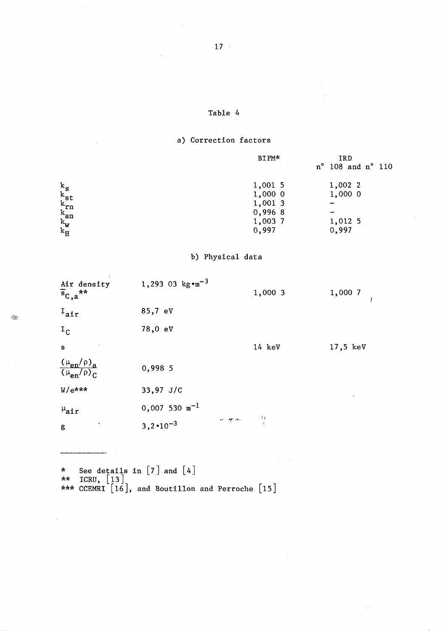# Table 4

# a) Correction factors

|                                     | BIPM*     | IRD<br>$n^{\circ}$ 108 and $n^{\circ}$ 110 |
|-------------------------------------|-----------|--------------------------------------------|
|                                     | 1,001 5   | 1,002 2                                    |
|                                     | 1,0000    | 1,000 0                                    |
|                                     | 1,001 3   |                                            |
|                                     | $0,996$ 8 |                                            |
|                                     | 1,003 7   | 1,012 5                                    |
| ks<br>kst<br>krn<br>kan<br>kw<br>kH | 0,997     | 0,997                                      |

# b) Physical data

| Air density<br>$\overline{s}_{C,a}$ **        | 1,293 03 $\text{kg} \cdot \text{m}^{-3}$ |             | 1,000 3 | 1,000 7<br>ŧ |
|-----------------------------------------------|------------------------------------------|-------------|---------|--------------|
| $I_{\texttt{air}}$                            | 85,7 eV                                  |             |         |              |
| $I_C$                                         | 78,0 eV                                  |             |         |              |
| s                                             |                                          |             | 14 keV  | $17,5$ keV   |
| $\frac{(\mu_{en}/\rho)_a}{(\mu_{en}/\rho)_c}$ | 0,998 5                                  |             |         |              |
| $W/e^{\star \star \star}$                     | $33,97$ J/C                              |             |         |              |
| $\mu_{\text{air}}$                            | $0,007$ 530 m <sup>-1</sup>              |             |         |              |
| g                                             | $3,2 \cdot 10^{-3}$                      | se ognieni. | 27      |              |
|                                               |                                          |             |         |              |

\* See details in  $[7]$  and  $[4]$ \*\* ICRU,  $\begin{bmatrix} 13 \end{bmatrix}$ \*\*\* CCEMRI  $[16]$ , and Boutillon and Perroche  $[15]$ 

 $\bar{\beta}$  $\overline{a}$ 

Q,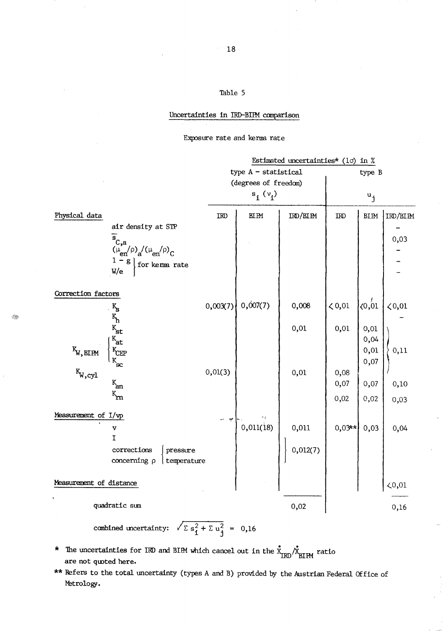### Table 5

### Uncertainties in IRD-BIlM canparison

### Exposure rate and kerma rate

|                                           |                                                                                                              | Estimated uncertainties* (1 $\sigma$ ) in %   |                                             |          |                  |                 |              |
|-------------------------------------------|--------------------------------------------------------------------------------------------------------------|-----------------------------------------------|---------------------------------------------|----------|------------------|-----------------|--------------|
|                                           |                                                                                                              | type $A - statistical$                        |                                             |          | type B           |                 |              |
|                                           |                                                                                                              | (degrees of freedom)                          |                                             |          |                  |                 |              |
|                                           |                                                                                                              | $s_i \; (\nu_i)$                              |                                             |          | $\mathbf{u}_{j}$ |                 |              |
| Physical data                             | air density at STP                                                                                           | $\ensuremath{\mathsf{L}\mathsf{R}\mathsf{D}}$ | $\mathop{\rm B\!I\,} \mathop{\rm B\!I\,} M$ | IRD/BIPM | <b>IRD</b>       | <b>BIPM</b>     | IRD/BIPM     |
|                                           | $E_{C,a}$<br>$(\mu_{en}/\rho)$ <sub>a</sub> $/(\mu_{en}/\rho)$ <sub>C</sub><br>$1 - g$ for kenna rate<br>W/e |                                               |                                             |          |                  |                 | 0,03         |
| Correction factors                        |                                                                                                              |                                               |                                             |          |                  |                 |              |
|                                           | . $\mathbf{K}_{\mathbf{S}}$                                                                                  | 0,003(7)                                      | 0,007(7)                                    | 0,008    | $\zeta 0,01$     | $\alpha_{0,01}$ | $\zeta 0,01$ |
|                                           | $K_{\text{st}}$<br>$K_{\text{at}}$                                                                           |                                               |                                             | 0,01     | 0,01             | 0,01<br>0,04    |              |
| $K_{W,\text{BIPM}}$<br>$K_{W,\text{cyl}}$ | K<br>CEP<br>$\mathbf{k}_{\rm sc}$                                                                            | 0,01(3)                                       |                                             |          | 0,08             | 0,01<br>0,07    | 0,11         |
|                                           | $K_{an}$                                                                                                     |                                               |                                             | 0,01     | 0,07             | 0,07            | 0,10         |
|                                           | $\kappa_{\mathbf{m}}$                                                                                        |                                               |                                             |          | 0,02             | 0,02            | 0,03         |
| Measurement of I/vp                       | v<br>I                                                                                                       | $\mathcal{P}^{\mathcal{P}}$ , and             | 93<br>0,011(18)                             | 0,011    | $0,03**$         | 0,03            | 0,04         |
|                                           | corrections<br>pressure<br>concerning p<br>temperature                                                       |                                               |                                             | 0,012(7) |                  |                 |              |
| Measurement of distance                   |                                                                                                              |                                               |                                             |          |                  |                 | ${<}0{,}01$  |
|                                           | quadratic sum                                                                                                |                                               |                                             | 0,02     |                  |                 | 0,16         |

combined uncertainty:  $\sqrt{\sum s_1^2 + \sum u_j^2} = 0,16$ 

 $\mathcal{L}_{\mathcal{M}}^{\otimes n}$ 

- \* The uncertainties for IRD and BIPM which cancel out in the  $\frac{1}{2}$ <sub>IRD</sub>/ $\frac{1}{2}$ <sub>IRM</sub> ratio are not qwted here.
- \*\* Pefers to the total uncertainty (types A and B) provided by the Austrian Federal Office of Metrology.

 $\bar{\mathcal{A}}$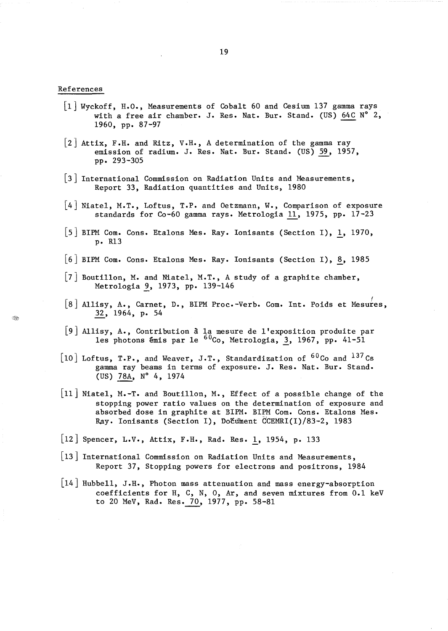#### References

- $\lceil 1 \rceil$  Wyckoff, H.O., Measurements of Cobalt 60 and Cesium 137 gamma rays with a free air chamber. J. Res. Nat. Bur. Stand. (US) 64C N° 2, 1960, pp. 87-97
- $\lceil 2 \rceil$  Attix, F.H. and Ritz, V.H., A determination of the gamma ray emission of radium. J. Res. Nat. Bur. Stand. (US) 59, 1957, pp. 293-305
- $|3|$  International Commission on Radiation Units and Measurements, Report 33, Radiation quantities and Units, 1980
- [4] Niatel, M.T., Loftus, T.P. and Oetzmann, W., Comparison of exposure standards for Co-60 gamma rays. Metrologia 11, 1975, pp. 17-23
- [5] BIPM Com. Cons. Etalons Mes. Ray. Ionisants (Section I),  $1$ , 1970, p. R13
- $\lfloor 6 \rfloor$  BIPM Com. Cons. Etalons Mes. Ray. Ionisants (Section I), 8, 1985
- $|7|$  Boutillon, M. and Niatel, M.T., A study of a graphite chamber, Metrologia 9, 1973, pp. 139-146
- [8] Allisy, A., Carnet, D., BIPM Proc.-Verb. Com. Int. Poids et Mesures, g, 1964, p. 54
- Allisy, A., Contribution à la mesure de l'exposition produite par les photons émis par le  $\frac{60}{60}$ Co, Metrologia, 3, 1967, pp. 41-51
- $\left[10\right]$  Loftus, T.P., and Weaver, J.T., Standardization of  $^{60}$ Co and  $^{137}$ Cs gamma ray beams in terms of exposure. J. Res. Nat. Bur. Stand. (US) 78A, N° 4, 1974
- $\left[11\right]$  Niatel, M.-T. and Boutillon, M., Effect of a possible change of the stopping power ratio values on the determination of exposure and absorbed dose in graphite at BIPM. BIPM Com. Cons. Etalons Mes. Ray. Ionisants (Section I), Document CCEMRI(I)/83-2, 1983
- [12] Spencer, L.V., Attix, F.H., Rad. Res. l, 1954, p. 133
- $\lfloor 13 \rfloor$  International Commission on Radiation Units and Measurements, Report 37, Stopping powers for electrons and positrons, 1984
- $\lfloor 14 \rfloor$  Hubbell, J.H., Photon mass attenuation and mass energy-absorption coefficients for H, C, N, 0, Ar, and seven mixtures from 0.1 keV to 20 MeV, Rad. Res. 70, 1977, pp. 58-81